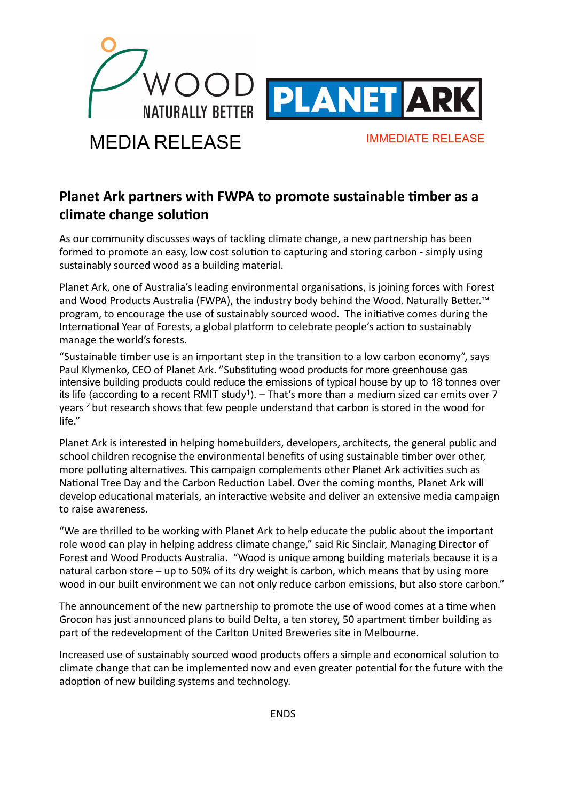

# MEDIA RELEASE IMMEDIATE RELEASE

## Planet Ark partners with FWPA to promote sustainable timber as a climate change solution

As our community discusses ways of tackling climate change, a new partnership has been formed to promote an easy, low cost solution to capturing and storing carbon - simply using sustainably
sourced
wood
as
a
building
material.

Planet Ark, one of Australia's leading environmental organisations, is joining forces with Forest and Wood Products Australia (FWPA), the industry body behind the Wood. Naturally Better.™ program, to encourage the use of sustainably sourced wood. The initiative comes during the International Year of Forests, a global platform to celebrate people's action to sustainably manage
the
world's
forests.

"Sustainable timber use is an important step in the transition to a low carbon economy", says Paul Klymenko, CEO of Planet Ark. "Substituting wood products for more greenhouse gas intensive building products could reduce the emissions of typical house by up to 18 tonnes over its life (according to a recent RMIT study<sup>1</sup>). - That's more than a medium sized car emits over 7 years
2
but
research
shows
that
few
people
understand
that
carbon
is
stored
in
the
wood
for life."

Planet Ark is interested in helping homebuilders, developers, architects, the general public and school children recognise the environmental benefits of using sustainable timber over other, more polluting alternatives. This campaign complements other Planet Ark activities such as National Tree Day and the Carbon Reduction Label. Over the coming months, Planet Ark will develop educational materials, an interactive website and deliver an extensive media campaign to
raise
awareness.

"We are thrilled to be working with Planet Ark to help educate the public about the important role wood can play in helping address climate change," said Ric Sinclair, Managing Director of Forest and Wood Products Australia. "Wood is unique among building materials because it is a natural carbon store - up to 50% of its dry weight is carbon, which means that by using more wood in our built environment we can not only reduce carbon emissions, but also store carbon."

The announcement of the new partnership to promote the use of wood comes at a time when Grocon has just announced plans to build Delta, a ten storey, 50 apartment timber building as part
of
the
redevelopment
of
the
Carlton
United
Breweries
site
in
Melbourne.

Increased use of sustainably sourced wood products offers a simple and economical solution to climate change that can be implemented now and even greater potential for the future with the adoption of new building systems and technology.